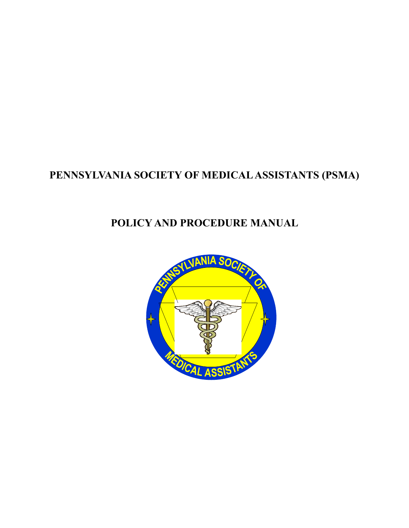# **PENNSYLVANIA SOCIETY OF MEDICAL ASSISTANTS (PSMA)**

# **POLICY AND PROCEDURE MANUAL**

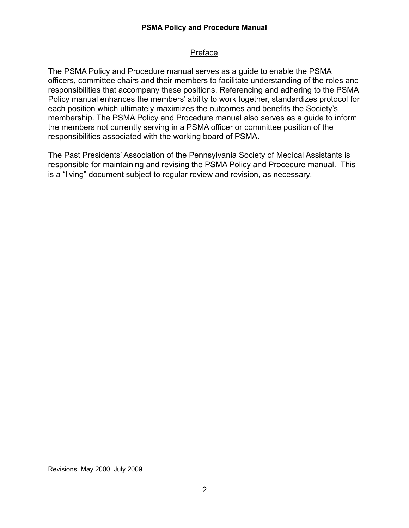#### Preface

The PSMA Policy and Procedure manual serves as a guide to enable the PSMA officers, committee chairs and their members to facilitate understanding of the roles and responsibilities that accompany these positions. Referencing and adhering to the PSMA Policy manual enhances the members' ability to work together, standardizes protocol for each position which ultimately maximizes the outcomes and benefits the Society's membership. The PSMA Policy and Procedure manual also serves as a guide to inform the members not currently serving in a PSMA officer or committee position of the responsibilities associated with the working board of PSMA.

The Past Presidents' Association of the Pennsylvania Society of Medical Assistants is responsible for maintaining and revising the PSMA Policy and Procedure manual. This is a "living" document subject to regular review and revision, as necessary.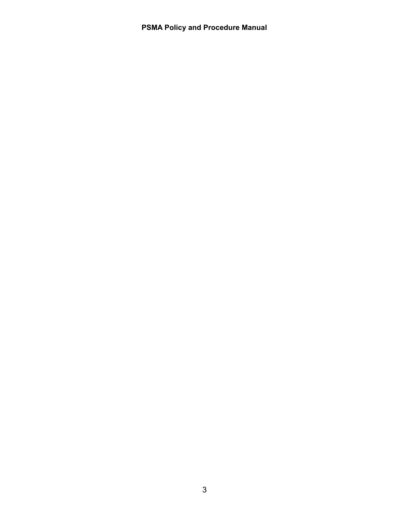**PSMA Policy and Procedure Manual**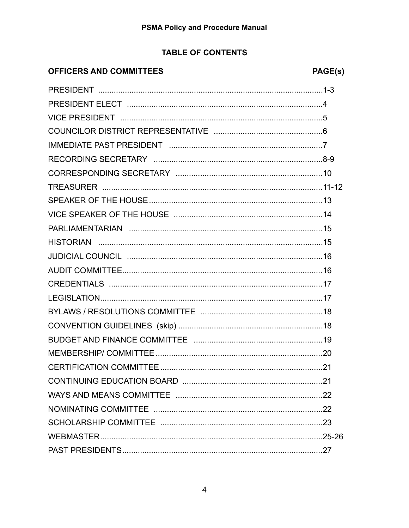# **TABLE OF CONTENTS**

# **OFFICERS AND COMMITTEES**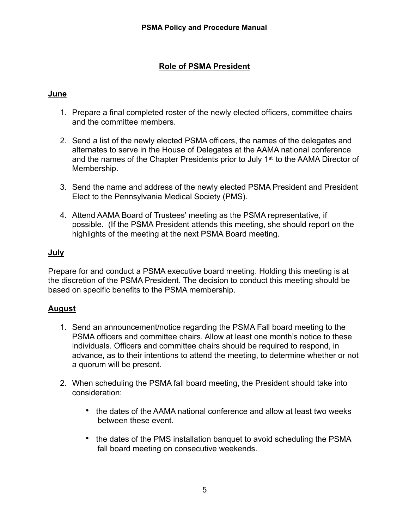## **Role of PSMA President**

#### **June**

- 1. Prepare a final completed roster of the newly elected officers, committee chairs and the committee members.
- 2. Send a list of the newly elected PSMA officers, the names of the delegates and alternates to serve in the House of Delegates at the AAMA national conference and the names of the Chapter Presidents prior to July 1st to the AAMA Director of Membership.
- 3. Send the name and address of the newly elected PSMA President and President Elect to the Pennsylvania Medical Society (PMS).
- 4. Attend AAMA Board of Trustees' meeting as the PSMA representative, if possible. (If the PSMA President attends this meeting, she should report on the highlights of the meeting at the next PSMA Board meeting.

#### **July**

Prepare for and conduct a PSMA executive board meeting. Holding this meeting is at the discretion of the PSMA President. The decision to conduct this meeting should be based on specific benefits to the PSMA membership.

#### **August**

- 1. Send an announcement/notice regarding the PSMA Fall board meeting to the PSMA officers and committee chairs. Allow at least one month's notice to these individuals. Officers and committee chairs should be required to respond, in advance, as to their intentions to attend the meeting, to determine whether or not a quorum will be present.
- 2. When scheduling the PSMA fall board meeting, the President should take into consideration:
	- the dates of the AAMA national conference and allow at least two weeks between these event.
	- the dates of the PMS installation banquet to avoid scheduling the PSMA fall board meeting on consecutive weekends.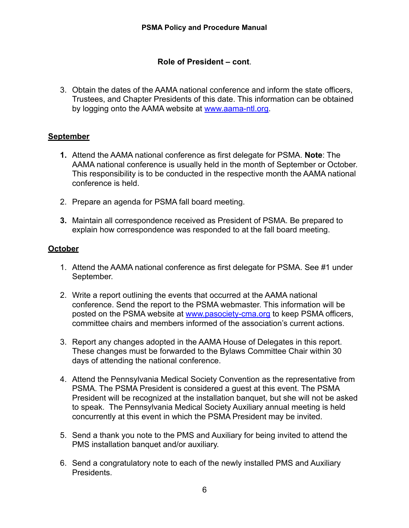## **Role of President – cont**.

3. Obtain the dates of the AAMA national conference and inform the state officers, Trustees, and Chapter Presidents of this date. This information can be obtained by logging onto the AAMA website at [www.aama-ntl.org](http://www.aama-ntl.org).

#### **September**

- **1.** Attend the AAMA national conference as first delegate for PSMA. **Note**: The AAMA national conference is usually held in the month of September or October. This responsibility is to be conducted in the respective month the AAMA national conference is held.
- 2. Prepare an agenda for PSMA fall board meeting.
- **3.** Maintain all correspondence received as President of PSMA. Be prepared to explain how correspondence was responded to at the fall board meeting.

# **October**

- 1. Attend the AAMA national conference as first delegate for PSMA. See #1 under September.
- 2. Write a report outlining the events that occurred at the AAMA national conference. Send the report to the PSMA webmaster. This information will be posted on the PSMA website at [www.pasociety-cma.org](http://www.pasociety-cma.org) to keep PSMA officers, committee chairs and members informed of the association's current actions.
- 3. Report any changes adopted in the AAMA House of Delegates in this report. These changes must be forwarded to the Bylaws Committee Chair within 30 days of attending the national conference.
- 4. Attend the Pennsylvania Medical Society Convention as the representative from PSMA. The PSMA President is considered a guest at this event. The PSMA President will be recognized at the installation banquet, but she will not be asked to speak. The Pennsylvania Medical Society Auxiliary annual meeting is held concurrently at this event in which the PSMA President may be invited.
- 5. Send a thank you note to the PMS and Auxiliary for being invited to attend the PMS installation banquet and/or auxiliary.
- 6. Send a congratulatory note to each of the newly installed PMS and Auxiliary Presidents.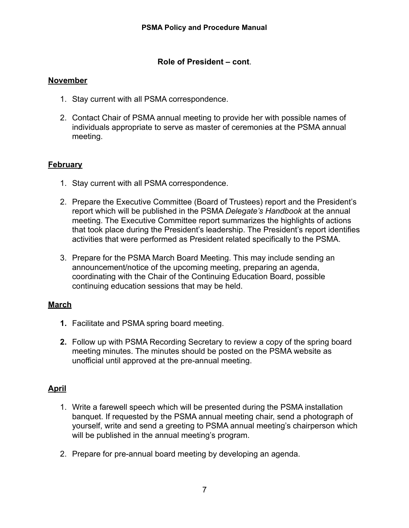#### **Role of President – cont**.

## **November**

- 1. Stay current with all PSMA correspondence.
- 2. Contact Chair of PSMA annual meeting to provide her with possible names of individuals appropriate to serve as master of ceremonies at the PSMA annual meeting.

# **February**

- 1. Stay current with all PSMA correspondence.
- 2. Prepare the Executive Committee (Board of Trustees) report and the President's report which will be published in the PSMA *Delegate's Handbook* at the annual meeting. The Executive Committee report summarizes the highlights of actions that took place during the President's leadership. The President's report identifies activities that were performed as President related specifically to the PSMA.
- 3. Prepare for the PSMA March Board Meeting. This may include sending an announcement/notice of the upcoming meeting, preparing an agenda, coordinating with the Chair of the Continuing Education Board, possible continuing education sessions that may be held.

#### **March**

- **1.** Facilitate and PSMA spring board meeting.
- **2.** Follow up with PSMA Recording Secretary to review a copy of the spring board meeting minutes. The minutes should be posted on the PSMA website as unofficial until approved at the pre-annual meeting.

# **April**

- 1. Write a farewell speech which will be presented during the PSMA installation banquet. If requested by the PSMA annual meeting chair, send a photograph of yourself, write and send a greeting to PSMA annual meeting's chairperson which will be published in the annual meeting's program.
- 2. Prepare for pre-annual board meeting by developing an agenda.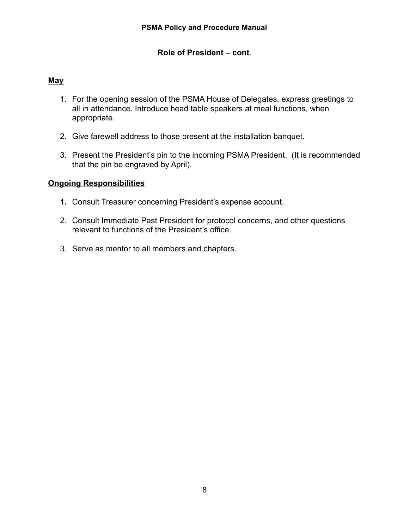#### **Role of President – cont**.

#### **May**

- 1. For the opening session of the PSMA House of Delegates, express greetings to all in attendance. Introduce head table speakers at meal functions, when appropriate.
- 2. Give farewell address to those present at the installation banquet.
- 3. Present the President's pin to the incoming PSMA President. (It is recommended that the pin be engraved by April).

#### **Ongoing Responsibilities**

- **1.** Consult Treasurer concerning President's expense account.
- 2. Consult Immediate Past President for protocol concerns, and other questions relevant to functions of the President's office.
- 3. Serve as mentor to all members and chapters.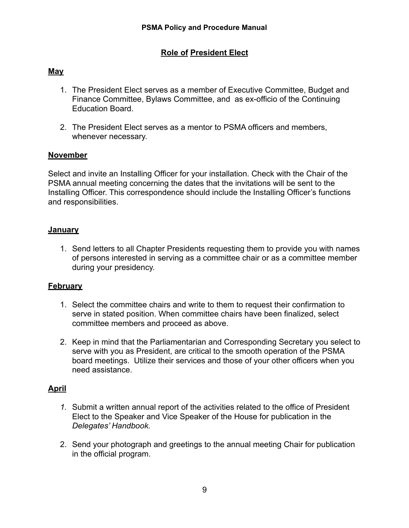# **Role of President Elect**

# **May**

- 1. The President Elect serves as a member of Executive Committee, Budget and Finance Committee, Bylaws Committee, and as ex-officio of the Continuing Education Board.
- 2. The President Elect serves as a mentor to PSMA officers and members, whenever necessary.

#### **November**

Select and invite an Installing Officer for your installation. Check with the Chair of the PSMA annual meeting concerning the dates that the invitations will be sent to the Installing Officer. This correspondence should include the Installing Officer's functions and responsibilities.

#### **January**

1. Send letters to all Chapter Presidents requesting them to provide you with names of persons interested in serving as a committee chair or as a committee member during your presidency.

#### **February**

- 1. Select the committee chairs and write to them to request their confirmation to serve in stated position. When committee chairs have been finalized, select committee members and proceed as above.
- 2. Keep in mind that the Parliamentarian and Corresponding Secretary you select to serve with you as President, are critical to the smooth operation of the PSMA board meetings. Utilize their services and those of your other officers when you need assistance.

#### **April**

- *1.* Submit a written annual report of the activities related to the office of President Elect to the Speaker and Vice Speaker of the House for publication in the *Delegates' Handbook.*
- 2. Send your photograph and greetings to the annual meeting Chair for publication in the official program.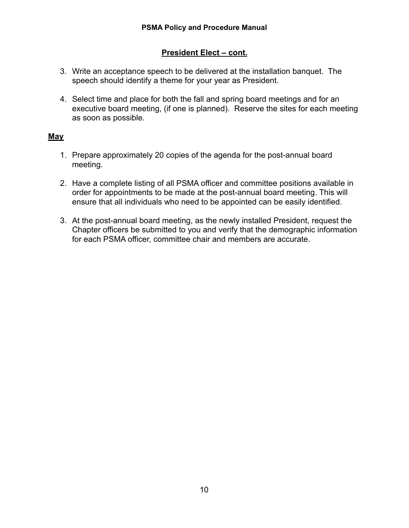#### **President Elect – cont.**

- 3. Write an acceptance speech to be delivered at the installation banquet. The speech should identify a theme for your year as President.
- 4. Select time and place for both the fall and spring board meetings and for an executive board meeting, (if one is planned). Reserve the sites for each meeting as soon as possible.

#### **May**

- 1. Prepare approximately 20 copies of the agenda for the post-annual board meeting.
- 2. Have a complete listing of all PSMA officer and committee positions available in order for appointments to be made at the post-annual board meeting. This will ensure that all individuals who need to be appointed can be easily identified.
- 3. At the post-annual board meeting, as the newly installed President, request the Chapter officers be submitted to you and verify that the demographic information for each PSMA officer, committee chair and members are accurate.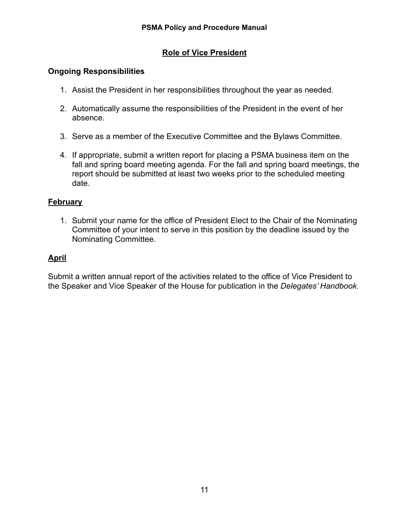# **Role of Vice President**

#### **Ongoing Responsibilities**

- 1. Assist the President in her responsibilities throughout the year as needed.
- 2. Automatically assume the responsibilities of the President in the event of her absence.
- 3. Serve as a member of the Executive Committee and the Bylaws Committee.
- 4. If appropriate, submit a written report for placing a PSMA business item on the fall and spring board meeting agenda. For the fall and spring board meetings, the report should be submitted at least two weeks prior to the scheduled meeting date.

#### **February**

1. Submit your name for the office of President Elect to the Chair of the Nominating Committee of your intent to serve in this position by the deadline issued by the Nominating Committee.

#### **April**

Submit a written annual report of the activities related to the office of Vice President to the Speaker and Vice Speaker of the House for publication in the *Delegates' Handbook.*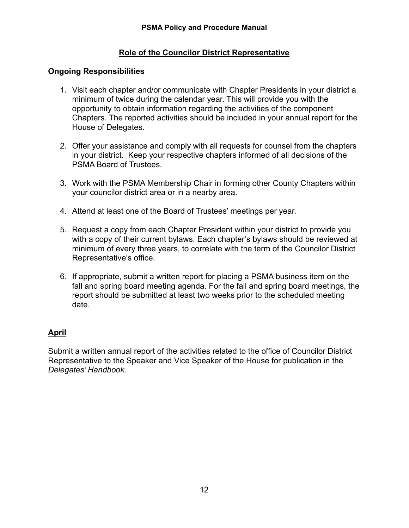# **Role of the Councilor District Representative**

#### **Ongoing Responsibilities**

- 1. Visit each chapter and/or communicate with Chapter Presidents in your district a minimum of twice during the calendar year. This will provide you with the opportunity to obtain information regarding the activities of the component Chapters. The reported activities should be included in your annual report for the House of Delegates.
- 2. Offer your assistance and comply with all requests for counsel from the chapters in your district. Keep your respective chapters informed of all decisions of the PSMA Board of Trustees.
- 3. Work with the PSMA Membership Chair in forming other County Chapters within your councilor district area or in a nearby area.
- 4. Attend at least one of the Board of Trustees' meetings per year.
- 5. Request a copy from each Chapter President within your district to provide you with a copy of their current bylaws. Each chapter's bylaws should be reviewed at minimum of every three years, to correlate with the term of the Councilor District Representative's office.
- 6. If appropriate, submit a written report for placing a PSMA business item on the fall and spring board meeting agenda. For the fall and spring board meetings, the report should be submitted at least two weeks prior to the scheduled meeting date.

# **April**

Submit a written annual report of the activities related to the office of Councilor District Representative to the Speaker and Vice Speaker of the House for publication in the *Delegates' Handbook.*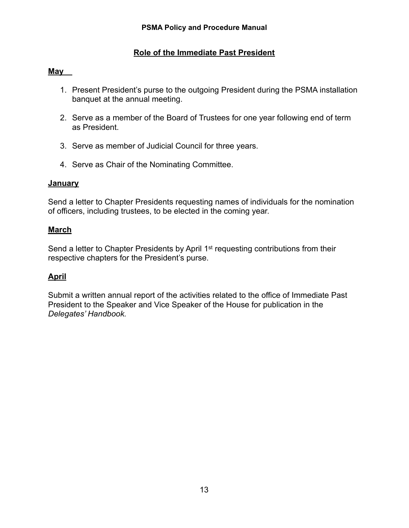# **Role of the Immediate Past President**

#### **May**

- 1. Present President's purse to the outgoing President during the PSMA installation banquet at the annual meeting.
- 2. Serve as a member of the Board of Trustees for one year following end of term as President.
- 3. Serve as member of Judicial Council for three years.
- 4. Serve as Chair of the Nominating Committee.

#### **January**

Send a letter to Chapter Presidents requesting names of individuals for the nomination of officers, including trustees, to be elected in the coming year.

#### **March**

Send a letter to Chapter Presidents by April 1<sup>st</sup> requesting contributions from their respective chapters for the President's purse.

# **April**

Submit a written annual report of the activities related to the office of Immediate Past President to the Speaker and Vice Speaker of the House for publication in the *Delegates' Handbook.*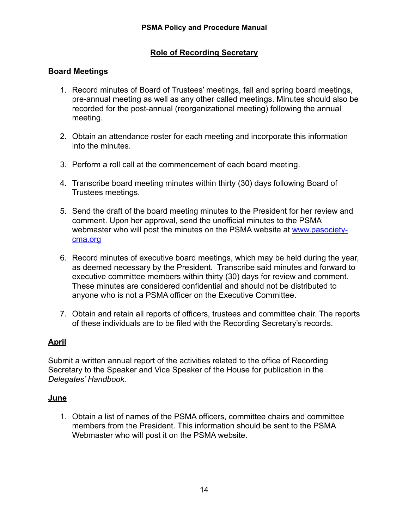# **Role of Recording Secretary**

#### **Board Meetings**

- 1. Record minutes of Board of Trustees' meetings, fall and spring board meetings, pre-annual meeting as well as any other called meetings. Minutes should also be recorded for the post-annual (reorganizational meeting) following the annual meeting.
- 2. Obtain an attendance roster for each meeting and incorporate this information into the minutes.
- 3. Perform a roll call at the commencement of each board meeting.
- 4. Transcribe board meeting minutes within thirty (30) days following Board of Trustees meetings.
- 5. Send the draft of the board meeting minutes to the President for her review and comment. Upon her approval, send the unofficial minutes to the PSMA webmaster who will post the minutes on the PSMA website at [www.pasociety](http://www.pasociety-cma.org)[cma.org](http://www.pasociety-cma.org)
- 6. Record minutes of executive board meetings, which may be held during the year, as deemed necessary by the President. Transcribe said minutes and forward to executive committee members within thirty (30) days for review and comment. These minutes are considered confidential and should not be distributed to anyone who is not a PSMA officer on the Executive Committee.
- 7. Obtain and retain all reports of officers, trustees and committee chair. The reports of these individuals are to be filed with the Recording Secretary's records.

#### **April**

Submit a written annual report of the activities related to the office of Recording Secretary to the Speaker and Vice Speaker of the House for publication in the *Delegates' Handbook.* 

#### **June**

1. Obtain a list of names of the PSMA officers, committee chairs and committee members from the President. This information should be sent to the PSMA Webmaster who will post it on the PSMA website.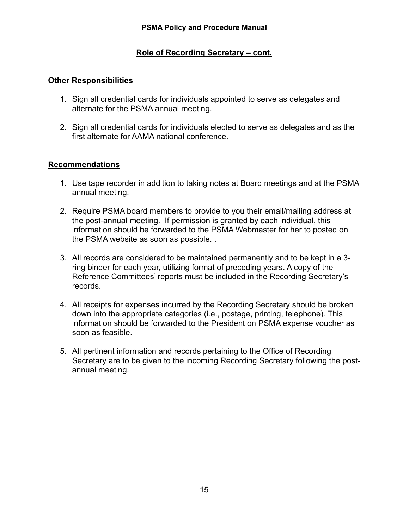#### **Role of Recording Secretary – cont.**

#### **Other Responsibilities**

- 1. Sign all credential cards for individuals appointed to serve as delegates and alternate for the PSMA annual meeting.
- 2. Sign all credential cards for individuals elected to serve as delegates and as the first alternate for AAMA national conference.

#### **Recommendations**

- 1. Use tape recorder in addition to taking notes at Board meetings and at the PSMA annual meeting.
- 2. Require PSMA board members to provide to you their email/mailing address at the post-annual meeting. If permission is granted by each individual, this information should be forwarded to the PSMA Webmaster for her to posted on the PSMA website as soon as possible. .
- 3. All records are considered to be maintained permanently and to be kept in a 3 ring binder for each year, utilizing format of preceding years. A copy of the Reference Committees' reports must be included in the Recording Secretary's records.
- 4. All receipts for expenses incurred by the Recording Secretary should be broken down into the appropriate categories (i.e., postage, printing, telephone). This information should be forwarded to the President on PSMA expense voucher as soon as feasible.
- 5. All pertinent information and records pertaining to the Office of Recording Secretary are to be given to the incoming Recording Secretary following the postannual meeting.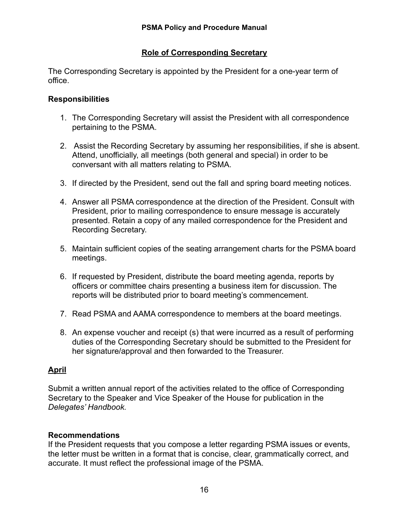# **Role of Corresponding Secretary**

The Corresponding Secretary is appointed by the President for a one-year term of office.

#### **Responsibilities**

- 1. The Corresponding Secretary will assist the President with all correspondence pertaining to the PSMA.
- 2. Assist the Recording Secretary by assuming her responsibilities, if she is absent. Attend, unofficially, all meetings (both general and special) in order to be conversant with all matters relating to PSMA.
- 3. If directed by the President, send out the fall and spring board meeting notices.
- 4. Answer all PSMA correspondence at the direction of the President. Consult with President, prior to mailing correspondence to ensure message is accurately presented. Retain a copy of any mailed correspondence for the President and Recording Secretary.
- 5. Maintain sufficient copies of the seating arrangement charts for the PSMA board meetings.
- 6. If requested by President, distribute the board meeting agenda, reports by officers or committee chairs presenting a business item for discussion. The reports will be distributed prior to board meeting's commencement.
- 7. Read PSMA and AAMA correspondence to members at the board meetings.
- 8. An expense voucher and receipt (s) that were incurred as a result of performing duties of the Corresponding Secretary should be submitted to the President for her signature/approval and then forwarded to the Treasurer.

#### **April**

Submit a written annual report of the activities related to the office of Corresponding Secretary to the Speaker and Vice Speaker of the House for publication in the *Delegates' Handbook.* 

#### **Recommendations**

If the President requests that you compose a letter regarding PSMA issues or events, the letter must be written in a format that is concise, clear, grammatically correct, and accurate. It must reflect the professional image of the PSMA.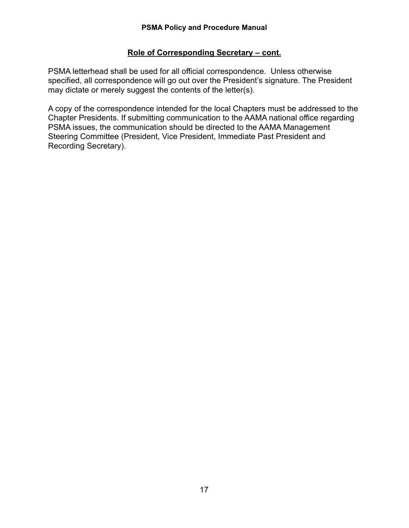#### **Role of Corresponding Secretary – cont.**

PSMA letterhead shall be used for all official correspondence. Unless otherwise specified, all correspondence will go out over the President's signature. The President may dictate or merely suggest the contents of the letter(s).

A copy of the correspondence intended for the local Chapters must be addressed to the Chapter Presidents. If submitting communication to the AAMA national office regarding PSMA issues, the communication should be directed to the AAMA Management Steering Committee (President, Vice President, Immediate Past President and Recording Secretary).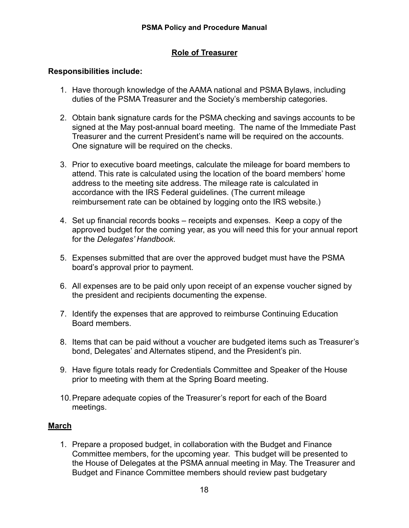# **Role of Treasurer**

# **Responsibilities include:**

- 1. Have thorough knowledge of the AAMA national and PSMA Bylaws, including duties of the PSMA Treasurer and the Society's membership categories.
- 2. Obtain bank signature cards for the PSMA checking and savings accounts to be signed at the May post-annual board meeting. The name of the Immediate Past Treasurer and the current President's name will be required on the accounts. One signature will be required on the checks.
- 3. Prior to executive board meetings, calculate the mileage for board members to attend. This rate is calculated using the location of the board members' home address to the meeting site address. The mileage rate is calculated in accordance with the IRS Federal guidelines. (The current mileage reimbursement rate can be obtained by logging onto the IRS website.)
- 4. Set up financial records books receipts and expenses. Keep a copy of the approved budget for the coming year, as you will need this for your annual report for the *Delegates' Handbook*.
- 5. Expenses submitted that are over the approved budget must have the PSMA board's approval prior to payment.
- 6. All expenses are to be paid only upon receipt of an expense voucher signed by the president and recipients documenting the expense.
- 7. Identify the expenses that are approved to reimburse Continuing Education Board members.
- 8. Items that can be paid without a voucher are budgeted items such as Treasurer's bond, Delegates' and Alternates stipend, and the President's pin.
- 9. Have figure totals ready for Credentials Committee and Speaker of the House prior to meeting with them at the Spring Board meeting.
- 10.Prepare adequate copies of the Treasurer's report for each of the Board meetings.

#### **March**

1. Prepare a proposed budget, in collaboration with the Budget and Finance Committee members, for the upcoming year. This budget will be presented to the House of Delegates at the PSMA annual meeting in May. The Treasurer and Budget and Finance Committee members should review past budgetary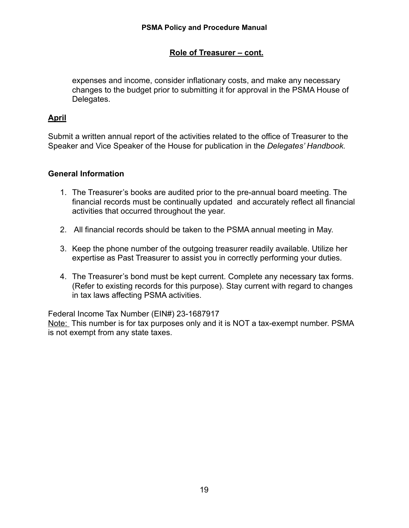## **Role of Treasurer – cont.**

expenses and income, consider inflationary costs, and make any necessary changes to the budget prior to submitting it for approval in the PSMA House of Delegates.

## **April**

Submit a written annual report of the activities related to the office of Treasurer to the Speaker and Vice Speaker of the House for publication in the *Delegates' Handbook.* 

## **General Information**

- 1. The Treasurer's books are audited prior to the pre-annual board meeting. The financial records must be continually updated and accurately reflect all financial activities that occurred throughout the year.
- 2. All financial records should be taken to the PSMA annual meeting in May.
- 3. Keep the phone number of the outgoing treasurer readily available. Utilize her expertise as Past Treasurer to assist you in correctly performing your duties.
- 4. The Treasurer's bond must be kept current. Complete any necessary tax forms. (Refer to existing records for this purpose). Stay current with regard to changes in tax laws affecting PSMA activities.

Federal Income Tax Number (EIN#) 23-1687917 Note: This number is for tax purposes only and it is NOT a tax-exempt number. PSMA is not exempt from any state taxes.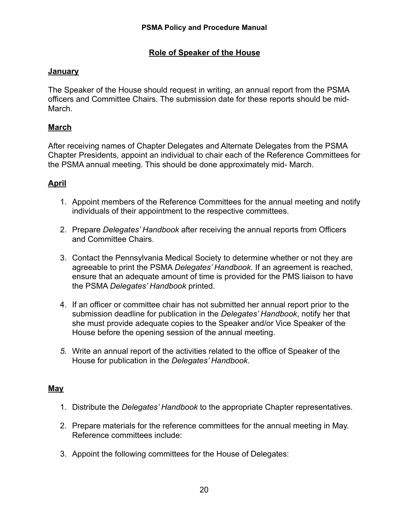# **Role of Speaker of the House**

## **January**

The Speaker of the House should request in writing, an annual report from the PSMA officers and Committee Chairs. The submission date for these reports should be mid-March.

# **March**

After receiving names of Chapter Delegates and Alternate Delegates from the PSMA Chapter Presidents, appoint an individual to chair each of the Reference Committees for the PSMA annual meeting. This should be done approximately mid- March.

# **April**

- 1. Appoint members of the Reference Committees for the annual meeting and notify individuals of their appointment to the respective committees.
- 2. Prepare *Delegates' Handbook* after receiving the annual reports from Officers and Committee Chairs.
- 3. Contact the Pennsylvania Medical Society to determine whether or not they are agreeable to print the PSMA *Delegates' Handbook*. If an agreement is reached, ensure that an adequate amount of time is provided for the PMS liaison to have the PSMA *Delegates' Handbook* printed.
- 4. If an officer or committee chair has not submitted her annual report prior to the submission deadline for publication in the *Delegates' Handbook*, notify her that she must provide adequate copies to the Speaker and/or Vice Speaker of the House before the opening session of the annual meeting.
- *5.* Write an annual report of the activities related to the office of Speaker of the House for publication in the *Delegates' Handbook.*

#### **May**

- 1. Distribute the *Delegates' Handbook* to the appropriate Chapter representatives.
- 2. Prepare materials for the reference committees for the annual meeting in May. Reference committees include:
- 3. Appoint the following committees for the House of Delegates: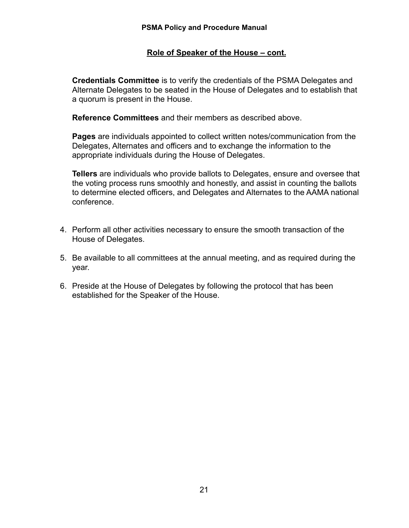## **Role of Speaker of the House – cont.**

**Credentials Committee** is to verify the credentials of the PSMA Delegates and Alternate Delegates to be seated in the House of Delegates and to establish that a quorum is present in the House.

**Reference Committees** and their members as described above.

**Pages** are individuals appointed to collect written notes/communication from the Delegates, Alternates and officers and to exchange the information to the appropriate individuals during the House of Delegates.

**Tellers** are individuals who provide ballots to Delegates, ensure and oversee that the voting process runs smoothly and honestly, and assist in counting the ballots to determine elected officers, and Delegates and Alternates to the AAMA national conference.

- 4. Perform all other activities necessary to ensure the smooth transaction of the House of Delegates.
- 5. Be available to all committees at the annual meeting, and as required during the year.
- 6. Preside at the House of Delegates by following the protocol that has been established for the Speaker of the House.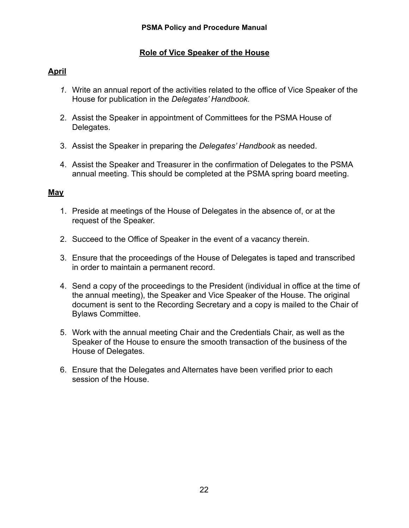# **Role of Vice Speaker of the House**

# **April**

- *1.* Write an annual report of the activities related to the office of Vice Speaker of the House for publication in the *Delegates' Handbook.*
- 2. Assist the Speaker in appointment of Committees for the PSMA House of Delegates.
- 3. Assist the Speaker in preparing the *Delegates' Handbook* as needed.
- 4. Assist the Speaker and Treasurer in the confirmation of Delegates to the PSMA annual meeting. This should be completed at the PSMA spring board meeting.

#### **May**

- 1. Preside at meetings of the House of Delegates in the absence of, or at the request of the Speaker.
- 2. Succeed to the Office of Speaker in the event of a vacancy therein.
- 3. Ensure that the proceedings of the House of Delegates is taped and transcribed in order to maintain a permanent record.
- 4. Send a copy of the proceedings to the President (individual in office at the time of the annual meeting), the Speaker and Vice Speaker of the House. The original document is sent to the Recording Secretary and a copy is mailed to the Chair of Bylaws Committee.
- 5. Work with the annual meeting Chair and the Credentials Chair, as well as the Speaker of the House to ensure the smooth transaction of the business of the House of Delegates.
- 6. Ensure that the Delegates and Alternates have been verified prior to each session of the House.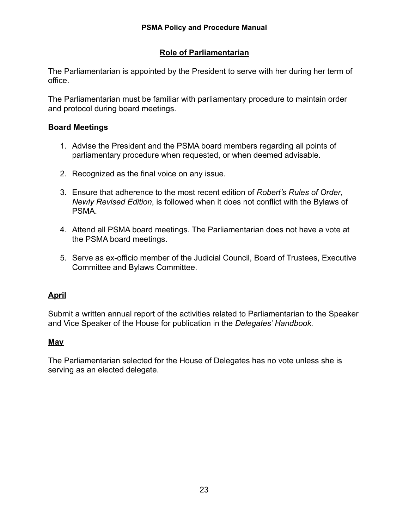# **Role of Parliamentarian**

The Parliamentarian is appointed by the President to serve with her during her term of office.

The Parliamentarian must be familiar with parliamentary procedure to maintain order and protocol during board meetings.

#### **Board Meetings**

- 1. Advise the President and the PSMA board members regarding all points of parliamentary procedure when requested, or when deemed advisable.
- 2. Recognized as the final voice on any issue.
- 3. Ensure that adherence to the most recent edition of *Robert's Rules of Order*, *Newly Revised Edition*, is followed when it does not conflict with the Bylaws of PSMA.
- 4. Attend all PSMA board meetings. The Parliamentarian does not have a vote at the PSMA board meetings.
- 5. Serve as ex-officio member of the Judicial Council, Board of Trustees, Executive Committee and Bylaws Committee.

#### **April**

Submit a written annual report of the activities related to Parliamentarian to the Speaker and Vice Speaker of the House for publication in the *Delegates' Handbook.* 

#### **May**

The Parliamentarian selected for the House of Delegates has no vote unless she is serving as an elected delegate.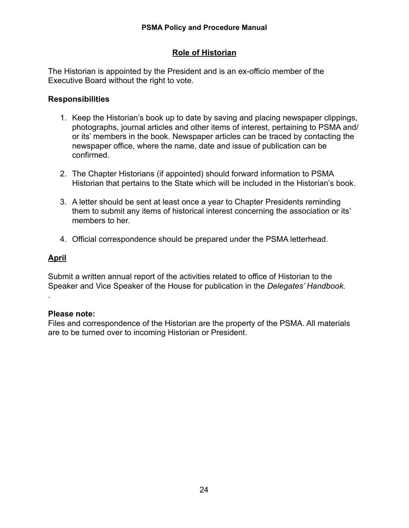# **Role of Historian**

The Historian is appointed by the President and is an ex-officio member of the Executive Board without the right to vote.

#### **Responsibilities**

- 1. Keep the Historian's book up to date by saving and placing newspaper clippings, photographs, journal articles and other items of interest, pertaining to PSMA and/ or its' members in the book. Newspaper articles can be traced by contacting the newspaper office, where the name, date and issue of publication can be confirmed.
- 2. The Chapter Historians (if appointed) should forward information to PSMA Historian that pertains to the State which will be included in the Historian's book.
- 3. A letter should be sent at least once a year to Chapter Presidents reminding them to submit any items of historical interest concerning the association or its' members to her.
- 4. Official correspondence should be prepared under the PSMA letterhead.

# **April**

Submit a written annual report of the activities related to office of Historian to the Speaker and Vice Speaker of the House for publication in the *Delegates' Handbook.*  .

#### **Please note:**

Files and correspondence of the Historian are the property of the PSMA. All materials are to be turned over to incoming Historian or President.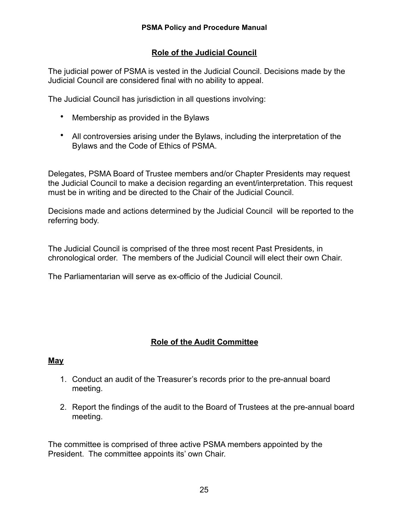# **Role of the Judicial Council**

The judicial power of PSMA is vested in the Judicial Council. Decisions made by the Judicial Council are considered final with no ability to appeal.

The Judicial Council has jurisdiction in all questions involving:

- Membership as provided in the Bylaws
- All controversies arising under the Bylaws, including the interpretation of the Bylaws and the Code of Ethics of PSMA.

Delegates, PSMA Board of Trustee members and/or Chapter Presidents may request the Judicial Council to make a decision regarding an event/interpretation. This request must be in writing and be directed to the Chair of the Judicial Council.

Decisions made and actions determined by the Judicial Council will be reported to the referring body.

The Judicial Council is comprised of the three most recent Past Presidents, in chronological order. The members of the Judicial Council will elect their own Chair.

The Parliamentarian will serve as ex-officio of the Judicial Council.

#### **Role of the Audit Committee**

#### **May**

- 1. Conduct an audit of the Treasurer's records prior to the pre-annual board meeting.
- 2. Report the findings of the audit to the Board of Trustees at the pre-annual board meeting.

The committee is comprised of three active PSMA members appointed by the President. The committee appoints its' own Chair.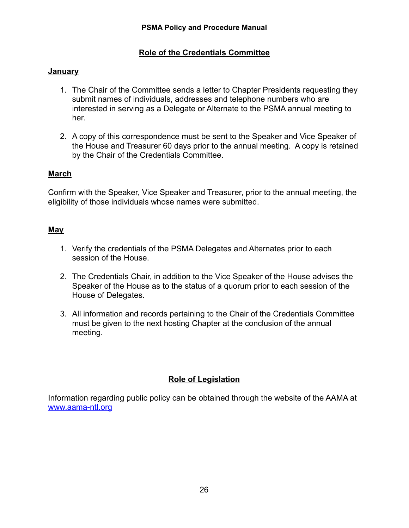# **Role of the Credentials Committee**

#### **January**

- 1. The Chair of the Committee sends a letter to Chapter Presidents requesting they submit names of individuals, addresses and telephone numbers who are interested in serving as a Delegate or Alternate to the PSMA annual meeting to her.
- 2. A copy of this correspondence must be sent to the Speaker and Vice Speaker of the House and Treasurer 60 days prior to the annual meeting. A copy is retained by the Chair of the Credentials Committee.

# **March**

Confirm with the Speaker, Vice Speaker and Treasurer, prior to the annual meeting, the eligibility of those individuals whose names were submitted.

#### **May**

- 1. Verify the credentials of the PSMA Delegates and Alternates prior to each session of the House.
- 2. The Credentials Chair, in addition to the Vice Speaker of the House advises the Speaker of the House as to the status of a quorum prior to each session of the House of Delegates.
- 3. All information and records pertaining to the Chair of the Credentials Committee must be given to the next hosting Chapter at the conclusion of the annual meeting.

# **Role of Legislation**

Information regarding public policy can be obtained through the website of the AAMA at [www.aama-ntl.org](http://www.aama-ntl.org)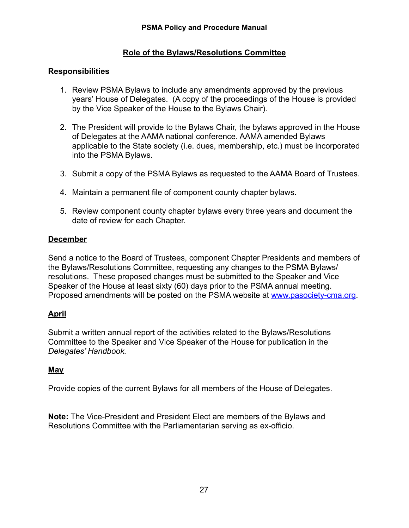## **Role of the Bylaws/Resolutions Committee**

## **Responsibilities**

- 1. Review PSMA Bylaws to include any amendments approved by the previous years' House of Delegates. (A copy of the proceedings of the House is provided by the Vice Speaker of the House to the Bylaws Chair).
- 2. The President will provide to the Bylaws Chair, the bylaws approved in the House of Delegates at the AAMA national conference. AAMA amended Bylaws applicable to the State society (i.e. dues, membership, etc.) must be incorporated into the PSMA Bylaws.
- 3. Submit a copy of the PSMA Bylaws as requested to the AAMA Board of Trustees.
- 4. Maintain a permanent file of component county chapter bylaws.
- 5. Review component county chapter bylaws every three years and document the date of review for each Chapter.

# **December**

Send a notice to the Board of Trustees, component Chapter Presidents and members of the Bylaws/Resolutions Committee, requesting any changes to the PSMA Bylaws/ resolutions. These proposed changes must be submitted to the Speaker and Vice Speaker of the House at least sixty (60) days prior to the PSMA annual meeting. Proposed amendments will be posted on the PSMA website at [www.pasociety-cma.org.](http://www.pasociety-cma.org)

# **April**

Submit a written annual report of the activities related to the Bylaws/Resolutions Committee to the Speaker and Vice Speaker of the House for publication in the *Delegates' Handbook.* 

# **May**

Provide copies of the current Bylaws for all members of the House of Delegates.

**Note:** The Vice-President and President Elect are members of the Bylaws and Resolutions Committee with the Parliamentarian serving as ex-officio.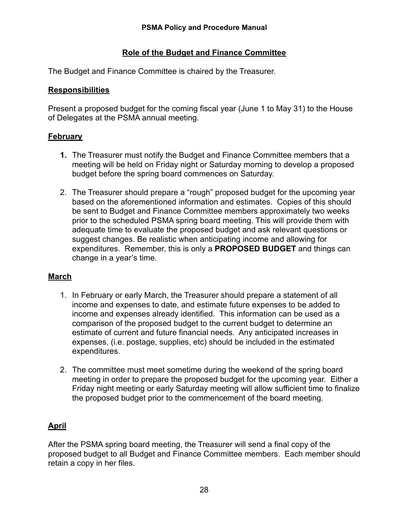## **Role of the Budget and Finance Committee**

The Budget and Finance Committee is chaired by the Treasurer.

#### **Responsibilities**

Present a proposed budget for the coming fiscal year (June 1 to May 31) to the House of Delegates at the PSMA annual meeting.

#### **February**

- **1.** The Treasurer must notify the Budget and Finance Committee members that a meeting will be held on Friday night or Saturday morning to develop a proposed budget before the spring board commences on Saturday.
- 2. The Treasurer should prepare a "rough" proposed budget for the upcoming year based on the aforementioned information and estimates. Copies of this should be sent to Budget and Finance Committee members approximately two weeks prior to the scheduled PSMA spring board meeting. This will provide them with adequate time to evaluate the proposed budget and ask relevant questions or suggest changes. Be realistic when anticipating income and allowing for expenditures. Remember, this is only a **PROPOSED BUDGET** and things can change in a year's time.

#### **March**

- 1. In February or early March, the Treasurer should prepare a statement of all income and expenses to date, and estimate future expenses to be added to income and expenses already identified. This information can be used as a comparison of the proposed budget to the current budget to determine an estimate of current and future financial needs. Any anticipated increases in expenses, (i.e. postage, supplies, etc) should be included in the estimated expenditures.
- 2. The committee must meet sometime during the weekend of the spring board meeting in order to prepare the proposed budget for the upcoming year. Either a Friday night meeting or early Saturday meeting will allow sufficient time to finalize the proposed budget prior to the commencement of the board meeting.

# **April**

After the PSMA spring board meeting, the Treasurer will send a final copy of the proposed budget to all Budget and Finance Committee members. Each member should retain a copy in her files.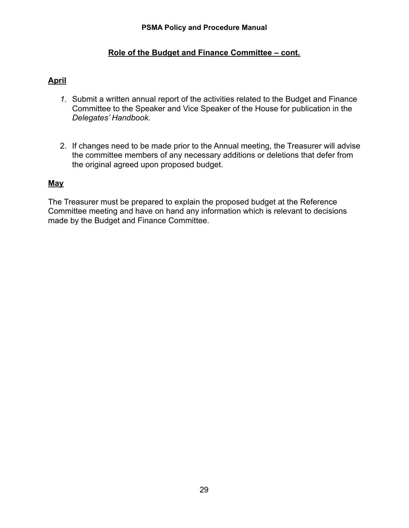# **Role of the Budget and Finance Committee – cont.**

# **April**

- *1.* Submit a written annual report of the activities related to the Budget and Finance Committee to the Speaker and Vice Speaker of the House for publication in the *Delegates' Handbook.*
- 2. If changes need to be made prior to the Annual meeting, the Treasurer will advise the committee members of any necessary additions or deletions that defer from the original agreed upon proposed budget.

#### **May**

The Treasurer must be prepared to explain the proposed budget at the Reference Committee meeting and have on hand any information which is relevant to decisions made by the Budget and Finance Committee.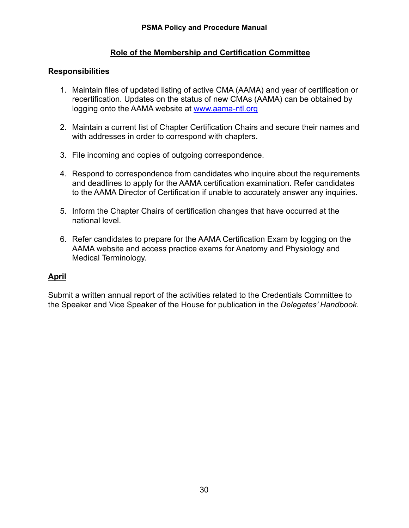# **Role of the Membership and Certification Committee**

#### **Responsibilities**

- 1. Maintain files of updated listing of active CMA (AAMA) and year of certification or recertification. Updates on the status of new CMAs (AAMA) can be obtained by logging onto the AAMA website at [www.aama-ntl.org](http://www.aama-ntl.org)
- 2. Maintain a current list of Chapter Certification Chairs and secure their names and with addresses in order to correspond with chapters.
- 3. File incoming and copies of outgoing correspondence.
- 4. Respond to correspondence from candidates who inquire about the requirements and deadlines to apply for the AAMA certification examination. Refer candidates to the AAMA Director of Certification if unable to accurately answer any inquiries.
- 5. Inform the Chapter Chairs of certification changes that have occurred at the national level.
- 6. Refer candidates to prepare for the AAMA Certification Exam by logging on the AAMA website and access practice exams for Anatomy and Physiology and Medical Terminology.

# **April**

Submit a written annual report of the activities related to the Credentials Committee to the Speaker and Vice Speaker of the House for publication in the *Delegates' Handbook.*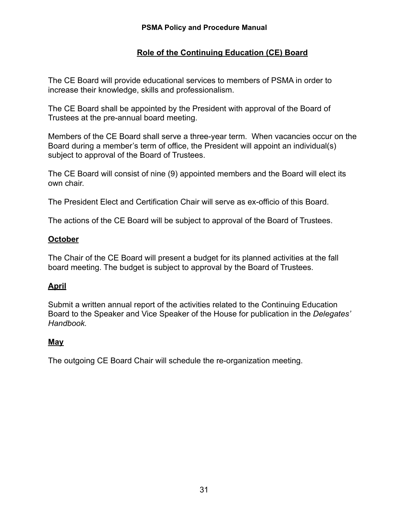#### **Role of the Continuing Education (CE) Board**

The CE Board will provide educational services to members of PSMA in order to increase their knowledge, skills and professionalism.

The CE Board shall be appointed by the President with approval of the Board of Trustees at the pre-annual board meeting.

Members of the CE Board shall serve a three-year term. When vacancies occur on the Board during a member's term of office, the President will appoint an individual(s) subject to approval of the Board of Trustees.

The CE Board will consist of nine (9) appointed members and the Board will elect its own chair.

The President Elect and Certification Chair will serve as ex-officio of this Board.

The actions of the CE Board will be subject to approval of the Board of Trustees.

#### **October**

The Chair of the CE Board will present a budget for its planned activities at the fall board meeting. The budget is subject to approval by the Board of Trustees.

# **April**

Submit a written annual report of the activities related to the Continuing Education Board to the Speaker and Vice Speaker of the House for publication in the *Delegates' Handbook.* 

#### **May**

The outgoing CE Board Chair will schedule the re-organization meeting.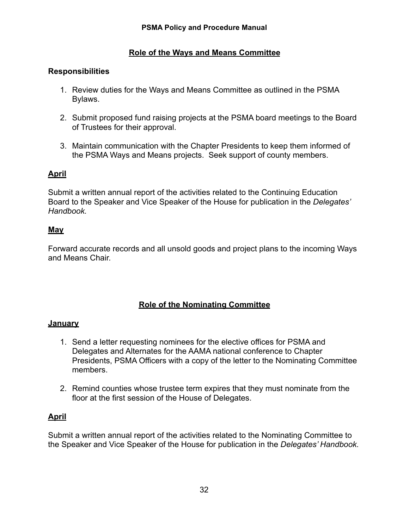# **Role of the Ways and Means Committee**

#### **Responsibilities**

- 1. Review duties for the Ways and Means Committee as outlined in the PSMA Bylaws.
- 2. Submit proposed fund raising projects at the PSMA board meetings to the Board of Trustees for their approval.
- 3. Maintain communication with the Chapter Presidents to keep them informed of the PSMA Ways and Means projects. Seek support of county members.

#### **April**

Submit a written annual report of the activities related to the Continuing Education Board to the Speaker and Vice Speaker of the House for publication in the *Delegates' Handbook.* 

#### **May**

Forward accurate records and all unsold goods and project plans to the incoming Ways and Means Chair.

# **Role of the Nominating Committee**

#### **January**

- 1. Send a letter requesting nominees for the elective offices for PSMA and Delegates and Alternates for the AAMA national conference to Chapter Presidents, PSMA Officers with a copy of the letter to the Nominating Committee members.
- 2. Remind counties whose trustee term expires that they must nominate from the floor at the first session of the House of Delegates.

#### **April**

Submit a written annual report of the activities related to the Nominating Committee to the Speaker and Vice Speaker of the House for publication in the *Delegates' Handbook.*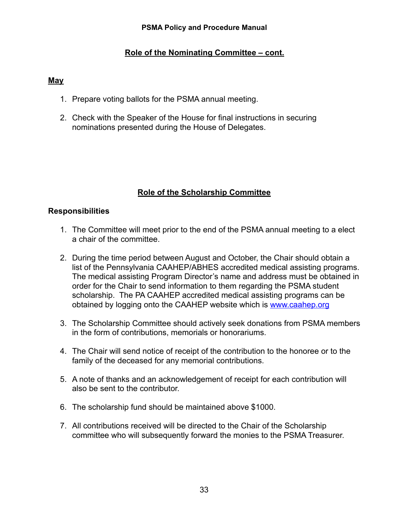# **Role of the Nominating Committee – cont.**

#### **May**

- 1. Prepare voting ballots for the PSMA annual meeting.
- 2. Check with the Speaker of the House for final instructions in securing nominations presented during the House of Delegates.

# **Role of the Scholarship Committee**

#### **Responsibilities**

- 1. The Committee will meet prior to the end of the PSMA annual meeting to a elect a chair of the committee.
- 2. During the time period between August and October, the Chair should obtain a list of the Pennsylvania CAAHEP/ABHES accredited medical assisting programs. The medical assisting Program Director's name and address must be obtained in order for the Chair to send information to them regarding the PSMA student scholarship. The PA CAAHEP accredited medical assisting programs can be obtained by logging onto the CAAHEP website which is [www.caahep.org](http://www.caahep.org)
- 3. The Scholarship Committee should actively seek donations from PSMA members in the form of contributions, memorials or honorariums.
- 4. The Chair will send notice of receipt of the contribution to the honoree or to the family of the deceased for any memorial contributions.
- 5. A note of thanks and an acknowledgement of receipt for each contribution will also be sent to the contributor.
- 6. The scholarship fund should be maintained above \$1000.
- 7. All contributions received will be directed to the Chair of the Scholarship committee who will subsequently forward the monies to the PSMA Treasurer.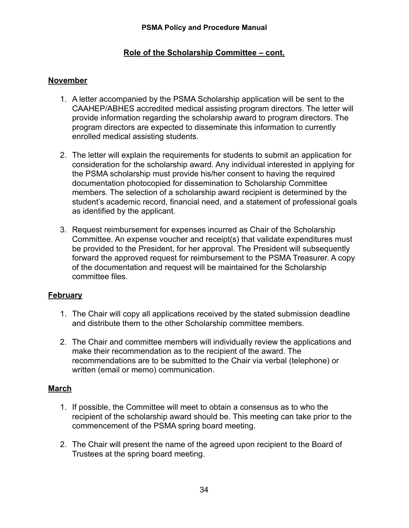# **Role of the Scholarship Committee – cont.**

## **November**

- 1. A letter accompanied by the PSMA Scholarship application will be sent to the CAAHEP/ABHES accredited medical assisting program directors. The letter will provide information regarding the scholarship award to program directors. The program directors are expected to disseminate this information to currently enrolled medical assisting students.
- 2. The letter will explain the requirements for students to submit an application for consideration for the scholarship award. Any individual interested in applying for the PSMA scholarship must provide his/her consent to having the required documentation photocopied for dissemination to Scholarship Committee members. The selection of a scholarship award recipient is determined by the student's academic record, financial need, and a statement of professional goals as identified by the applicant.
- 3. Request reimbursement for expenses incurred as Chair of the Scholarship Committee. An expense voucher and receipt(s) that validate expenditures must be provided to the President, for her approval. The President will subsequently forward the approved request for reimbursement to the PSMA Treasurer. A copy of the documentation and request will be maintained for the Scholarship committee files.

#### **February**

- 1. The Chair will copy all applications received by the stated submission deadline and distribute them to the other Scholarship committee members.
- 2. The Chair and committee members will individually review the applications and make their recommendation as to the recipient of the award. The recommendations are to be submitted to the Chair via verbal (telephone) or written (email or memo) communication.

#### **March**

- 1. If possible, the Committee will meet to obtain a consensus as to who the recipient of the scholarship award should be. This meeting can take prior to the commencement of the PSMA spring board meeting.
- 2. The Chair will present the name of the agreed upon recipient to the Board of Trustees at the spring board meeting.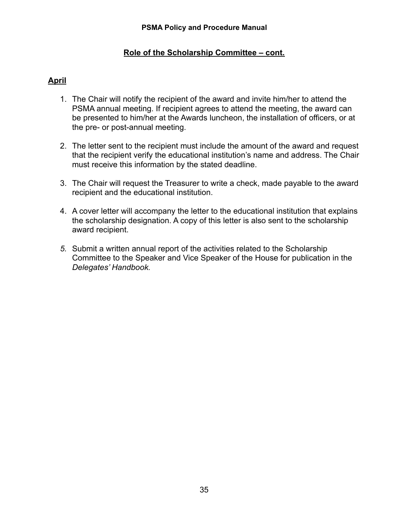#### **Role of the Scholarship Committee – cont.**

# **April**

- 1. The Chair will notify the recipient of the award and invite him/her to attend the PSMA annual meeting. If recipient agrees to attend the meeting, the award can be presented to him/her at the Awards luncheon, the installation of officers, or at the pre- or post-annual meeting.
- 2. The letter sent to the recipient must include the amount of the award and request that the recipient verify the educational institution's name and address. The Chair must receive this information by the stated deadline.
- 3. The Chair will request the Treasurer to write a check, made payable to the award recipient and the educational institution.
- 4. A cover letter will accompany the letter to the educational institution that explains the scholarship designation. A copy of this letter is also sent to the scholarship award recipient.
- *5.* Submit a written annual report of the activities related to the Scholarship Committee to the Speaker and Vice Speaker of the House for publication in the *Delegates' Handbook.*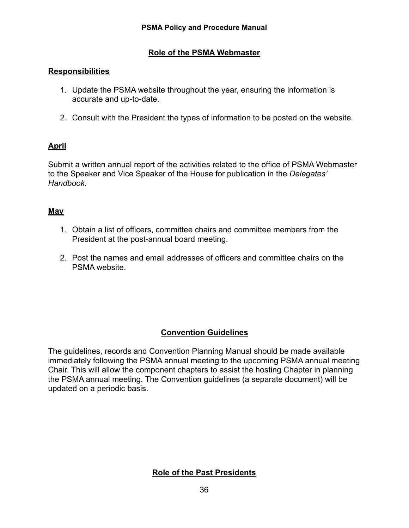# **Role of the PSMA Webmaster**

## **Responsibilities**

- 1. Update the PSMA website throughout the year, ensuring the information is accurate and up-to-date.
- 2. Consult with the President the types of information to be posted on the website.

# **April**

Submit a written annual report of the activities related to the office of PSMA Webmaster to the Speaker and Vice Speaker of the House for publication in the *Delegates' Handbook.* 

# **May**

- 1. Obtain a list of officers, committee chairs and committee members from the President at the post-annual board meeting.
- 2. Post the names and email addresses of officers and committee chairs on the PSMA website.

# **Convention Guidelines**

The guidelines, records and Convention Planning Manual should be made available immediately following the PSMA annual meeting to the upcoming PSMA annual meeting Chair. This will allow the component chapters to assist the hosting Chapter in planning the PSMA annual meeting. The Convention guidelines (a separate document) will be updated on a periodic basis.

# **Role of the Past Presidents**